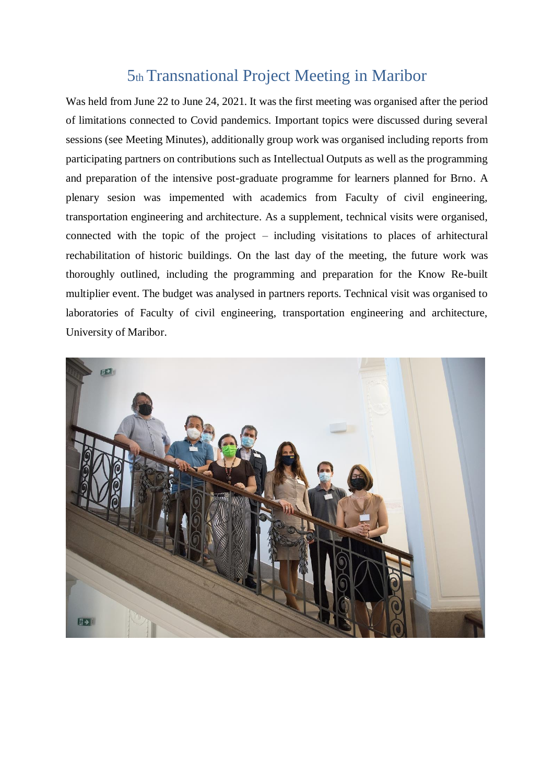## 5th Transnational Project Meeting in Maribor

Was held from June 22 to June 24, 2021. It was the first meeting was organised after the period of limitations connected to Covid pandemics. Important topics were discussed during several sessions (see Meeting Minutes), additionally group work was organised including reports from participating partners on contributions such as Intellectual Outputs as well as the programming and preparation of the intensive post-graduate programme for learners planned for Brno. A plenary sesion was impemented with academics from Faculty of civil engineering, transportation engineering and architecture. As a supplement, technical visits were organised, connected with the topic of the project – including visitations to places of arhitectural rechabilitation of historic buildings. On the last day of the meeting, the future work was thoroughly outlined, including the programming and preparation for the Know Re-built multiplier event. The budget was analysed in partners reports. Technical visit was organised to laboratories of Faculty of civil engineering, transportation engineering and architecture, University of Maribor.

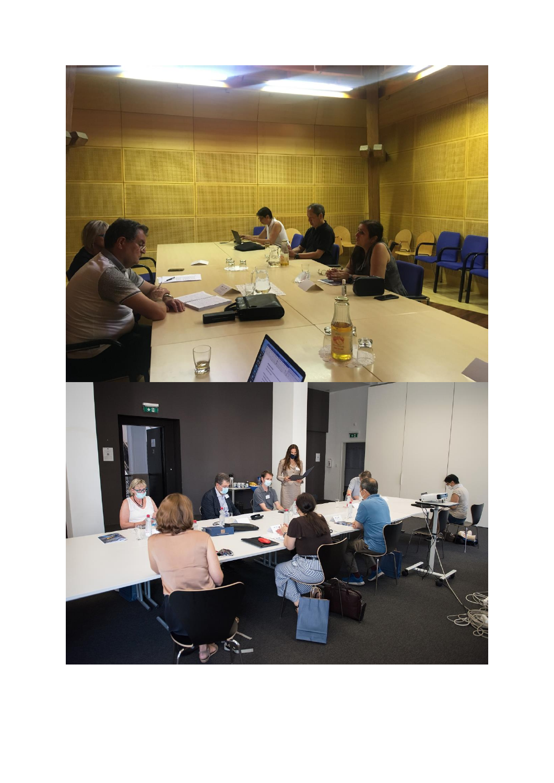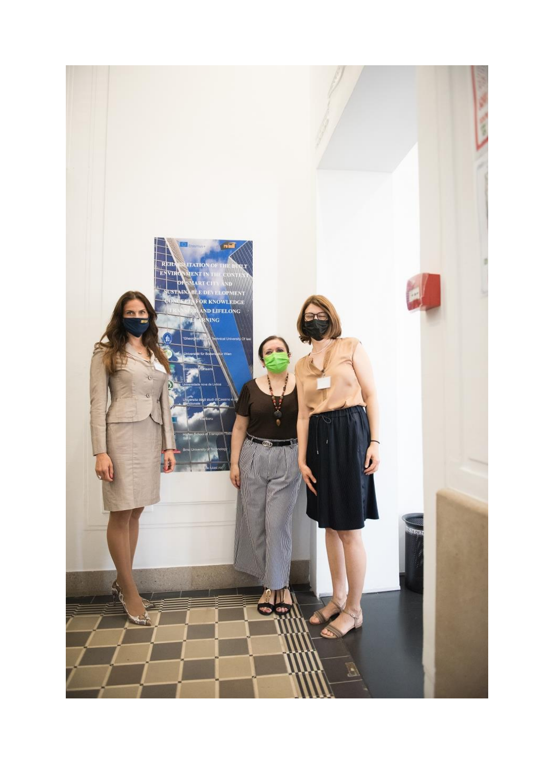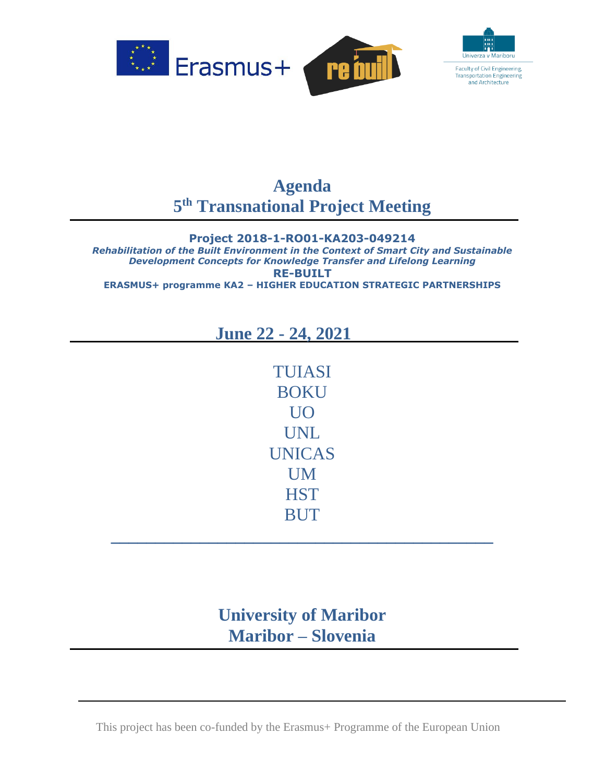

# **Agenda 5 th Transnational Project Meeting**

**Project 2018-1-RO01-KA203-049214** *Rehabilitation of the Built Environment in the Context of Smart City and Sustainable Development Concepts for Knowledge Transfer and Lifelong Learning* **RE-BUILT ERASMUS+ programme KA2 – HIGHER EDUCATION STRATEGIC PARTNERSHIPS**

## **June 22 - 24, 2021**

TUIASI BOKU UO UNL UNICAS UM **HST BUT** 

# **University of Maribor Maribor – Slovenia**

**\_\_\_\_\_\_\_\_\_\_\_\_\_\_\_\_\_\_\_\_\_\_\_\_\_\_\_\_\_\_\_\_\_\_\_\_\_\_\_\_\_\_\_**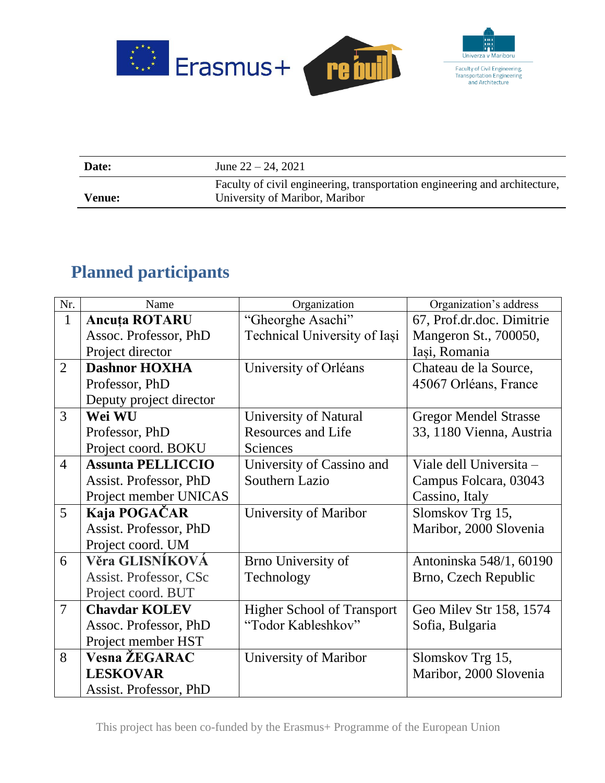

| Date:         | June $22 - 24$ , $2021$                                                                                      |  |
|---------------|--------------------------------------------------------------------------------------------------------------|--|
| <b>Venue:</b> | Faculty of civil engineering, transportation engineering and architecture,<br>University of Maribor, Maribor |  |

# **Planned participants**

| Nr.            | Name                     | Organization                      | Organization's address       |
|----------------|--------------------------|-----------------------------------|------------------------------|
| $\mathbf{1}$   | <b>Ancuta ROTARU</b>     | "Gheorghe Asachi"                 | 67, Prof.dr.doc. Dimitrie    |
|                | Assoc. Professor, PhD    | Technical University of Iasi      | Mangeron St., 700050,        |
|                | Project director         |                                   | Iași, Romania                |
| $\overline{2}$ | <b>Dashnor HOXHA</b>     | University of Orléans             | Chateau de la Source,        |
|                | Professor, PhD           |                                   | 45067 Orléans, France        |
|                | Deputy project director  |                                   |                              |
| $\overline{3}$ | Wei WU                   | University of Natural             | <b>Gregor Mendel Strasse</b> |
|                | Professor, PhD           | <b>Resources and Life</b>         | 33, 1180 Vienna, Austria     |
|                | Project coord. BOKU      | Sciences                          |                              |
| $\overline{4}$ | <b>Assunta PELLICCIO</b> | University of Cassino and         | Viale dell Universita -      |
|                | Assist. Professor, PhD   | Southern Lazio                    | Campus Folcara, 03043        |
|                | Project member UNICAS    |                                   | Cassino, Italy               |
| 5              | Kaja POGAČAR             | University of Maribor             | Slomskov Trg 15,             |
|                | Assist. Professor, PhD   |                                   | Maribor, 2000 Slovenia       |
|                | Project coord. UM        |                                   |                              |
| 6              | Věra GLISNÍKOVÁ          | <b>Brno University of</b>         | Antoninska 548/1, 60190      |
|                | Assist. Professor, CSc   | Technology                        | Brno, Czech Republic         |
|                | Project coord. BUT       |                                   |                              |
| $\overline{7}$ | <b>Chavdar KOLEV</b>     | <b>Higher School of Transport</b> | Geo Milev Str 158, 1574      |
|                | Assoc. Professor, PhD    | "Todor Kableshkov"                | Sofia, Bulgaria              |
|                | Project member HST       |                                   |                              |
| 8              | <b>Vesna ŽEGARAC</b>     | University of Maribor             | Slomskov Trg 15,             |
|                | <b>LESKOVAR</b>          |                                   | Maribor, 2000 Slovenia       |
|                | Assist. Professor, PhD   |                                   |                              |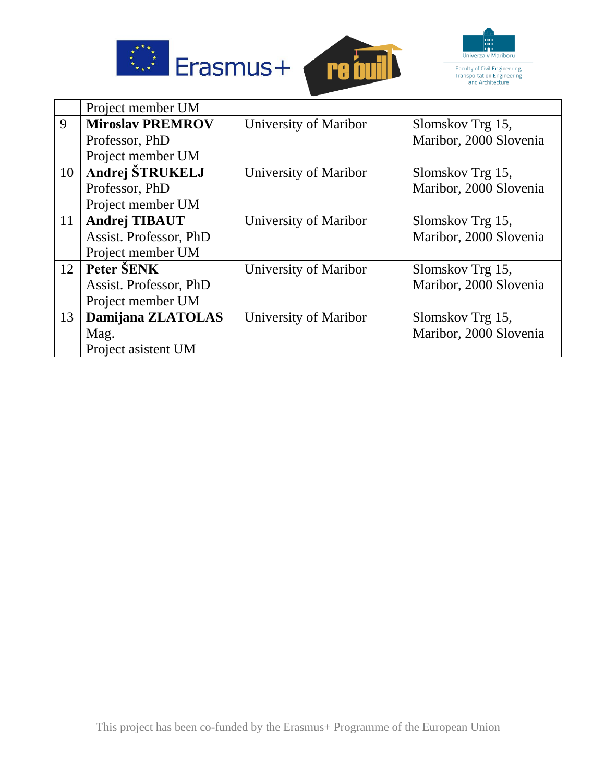





|    | Project member UM       |                       |                        |
|----|-------------------------|-----------------------|------------------------|
| 9  | <b>Miroslav PREMROV</b> | University of Maribor | Slomskov Trg 15,       |
|    | Professor, PhD          |                       | Maribor, 2000 Slovenia |
|    | Project member UM       |                       |                        |
| 10 | Andrej ŠTRUKELJ         | University of Maribor | Slomskov Trg 15,       |
|    | Professor, PhD          |                       | Maribor, 2000 Slovenia |
|    | Project member UM       |                       |                        |
| 11 | <b>Andrej TIBAUT</b>    | University of Maribor | Slomskov Trg 15,       |
|    | Assist. Professor, PhD  |                       | Maribor, 2000 Slovenia |
|    | Project member UM       |                       |                        |
| 12 | Peter <b>SENK</b>       | University of Maribor | Slomskov Trg 15,       |
|    | Assist. Professor, PhD  |                       | Maribor, 2000 Slovenia |
|    | Project member UM       |                       |                        |
| 13 | Damijana ZLATOLAS       | University of Maribor | Slomskov Trg 15,       |
|    | Mag.                    |                       | Maribor, 2000 Slovenia |
|    | Project asistent UM     |                       |                        |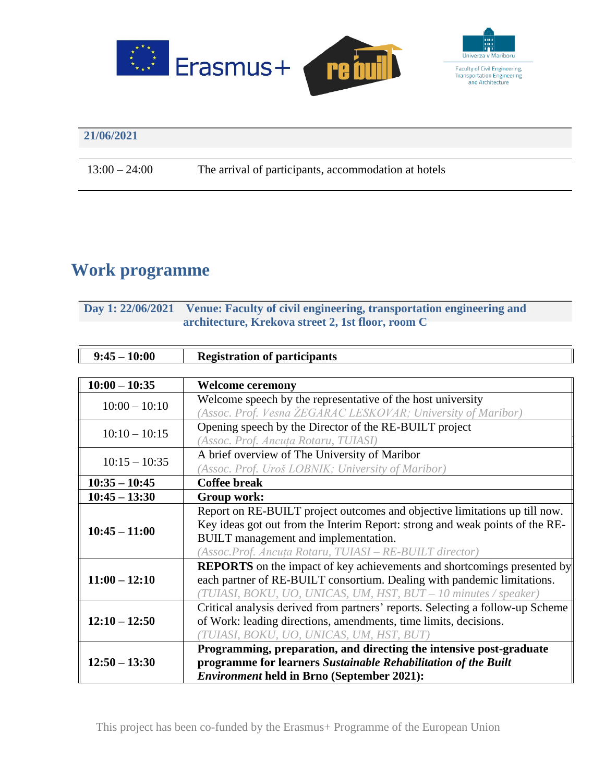

#### **21/06/2021**

13:00 – 24:00 The arrival of participants, accommodation at hotels

## **Work programme**

### **Day 1: 22/06/2021 Venue: Faculty of civil engineering, transportation engineering and architecture, Krekova street 2, 1st floor, room C**

| $9:45 - 10:00$  | <b>Registration of participants</b>                                            |
|-----------------|--------------------------------------------------------------------------------|
|                 |                                                                                |
| $10:00 - 10:35$ | <b>Welcome ceremony</b>                                                        |
| $10:00 - 10:10$ | Welcome speech by the representative of the host university                    |
|                 | (Assoc. Prof. Vesna ŽEGARAC LESKOVAR; University of Maribor)                   |
| $10:10 - 10:15$ | Opening speech by the Director of the RE-BUILT project                         |
|                 | (Assoc. Prof. Ancuța Rotaru, TUIASI)                                           |
| $10:15 - 10:35$ | A brief overview of The University of Maribor                                  |
|                 | (Assoc. Prof. Uroš LOBNIK; University of Maribor)                              |
| $10:35 - 10:45$ | <b>Coffee break</b>                                                            |
| $10:45 - 13:30$ | Group work:                                                                    |
|                 | Report on RE-BUILT project outcomes and objective limitations up till now.     |
| $10:45 - 11:00$ | Key ideas got out from the Interim Report: strong and weak points of the RE-   |
|                 | BUILT management and implementation.                                           |
|                 | (Assoc.Prof. Ancuța Rotaru, TUIASI - RE-BUILT director)                        |
|                 | <b>REPORTS</b> on the impact of key achievements and shortcomings presented by |
| $11:00 - 12:10$ | each partner of RE-BUILT consortium. Dealing with pandemic limitations.        |
|                 | (TUIASI, BOKU, UO, UNICAS, UM, HST, BUT - 10 minutes / speaker)                |
|                 | Critical analysis derived from partners' reports. Selecting a follow-up Scheme |
| $12:10 - 12:50$ | of Work: leading directions, amendments, time limits, decisions.               |
|                 | (TUIASI, BOKU, UO, UNICAS, UM, HST, BUT)                                       |
|                 | Programming, preparation, and directing the intensive post-graduate            |
| $12:50 - 13:30$ | programme for learners Sustainable Rehabilitation of the Built                 |
|                 | <b>Environment held in Brno (September 2021):</b>                              |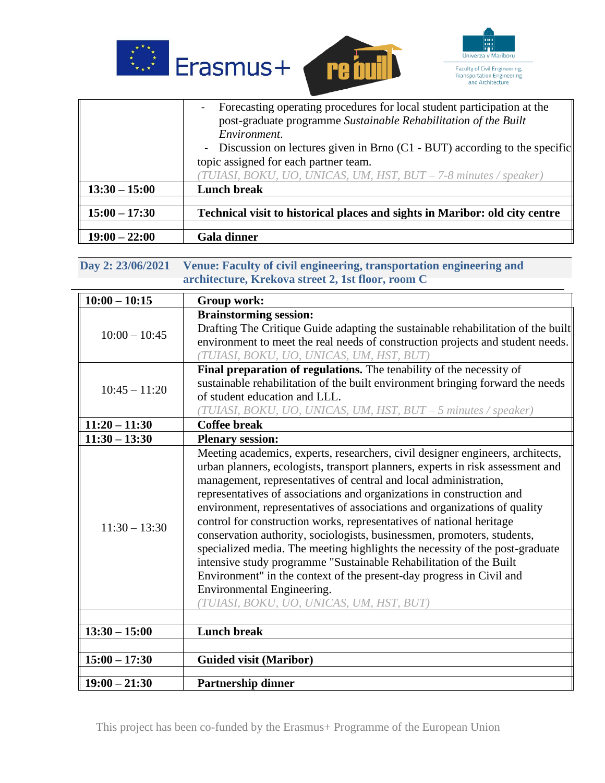





| <b>Gala dinner</b>                                                            |
|-------------------------------------------------------------------------------|
|                                                                               |
| Technical visit to historical places and sights in Maribor: old city centre   |
|                                                                               |
| <b>Lunch break</b>                                                            |
| TUIASI, BOKU, UO, UNICAS, UM, HST, BUT - 7-8 minutes / speaker)               |
| topic assigned for each partner team.                                         |
| - Discussion on lectures given in Brno $(C1 - BUT)$ according to the specific |
| Environment.                                                                  |
| post-graduate programme Sustainable Rehabilitation of the Built               |
| Forecasting operating procedures for local student participation at the       |
|                                                                               |

### **Day 2: 23/06/2021 Venue: Faculty of civil engineering, transportation engineering and architecture, Krekova street 2, 1st floor, room C**

| $10:00 - 10:15$ | Group work:                                                                                                                                                                                                                                                                                                                                                                                                                                                                                                                                                                                                                                                                                                                                                                                                                                           |
|-----------------|-------------------------------------------------------------------------------------------------------------------------------------------------------------------------------------------------------------------------------------------------------------------------------------------------------------------------------------------------------------------------------------------------------------------------------------------------------------------------------------------------------------------------------------------------------------------------------------------------------------------------------------------------------------------------------------------------------------------------------------------------------------------------------------------------------------------------------------------------------|
| $10:00 - 10:45$ | <b>Brainstorming session:</b><br>Drafting The Critique Guide adapting the sustainable rehabilitation of the built                                                                                                                                                                                                                                                                                                                                                                                                                                                                                                                                                                                                                                                                                                                                     |
|                 | environment to meet the real needs of construction projects and student needs.<br>(TUIASI, BOKU, UO, UNICAS, UM, HST, BUT)                                                                                                                                                                                                                                                                                                                                                                                                                                                                                                                                                                                                                                                                                                                            |
|                 | Final preparation of regulations. The tenability of the necessity of                                                                                                                                                                                                                                                                                                                                                                                                                                                                                                                                                                                                                                                                                                                                                                                  |
| $10:45 - 11:20$ | sustainable rehabilitation of the built environment bringing forward the needs                                                                                                                                                                                                                                                                                                                                                                                                                                                                                                                                                                                                                                                                                                                                                                        |
|                 | of student education and LLL.                                                                                                                                                                                                                                                                                                                                                                                                                                                                                                                                                                                                                                                                                                                                                                                                                         |
|                 | (TUIASI, BOKU, UO, UNICAS, UM, HST, BUT - 5 minutes / speaker)                                                                                                                                                                                                                                                                                                                                                                                                                                                                                                                                                                                                                                                                                                                                                                                        |
| $11:20 - 11:30$ | <b>Coffee break</b>                                                                                                                                                                                                                                                                                                                                                                                                                                                                                                                                                                                                                                                                                                                                                                                                                                   |
| $11:30 - 13:30$ | <b>Plenary session:</b>                                                                                                                                                                                                                                                                                                                                                                                                                                                                                                                                                                                                                                                                                                                                                                                                                               |
| $11:30 - 13:30$ | Meeting academics, experts, researchers, civil designer engineers, architects,<br>urban planners, ecologists, transport planners, experts in risk assessment and<br>management, representatives of central and local administration,<br>representatives of associations and organizations in construction and<br>environment, representatives of associations and organizations of quality<br>control for construction works, representatives of national heritage<br>conservation authority, sociologists, businessmen, promoters, students,<br>specialized media. The meeting highlights the necessity of the post-graduate<br>intensive study programme "Sustainable Rehabilitation of the Built<br>Environment" in the context of the present-day progress in Civil and<br>Environmental Engineering.<br>(TUIASI, BOKU, UO, UNICAS, UM, HST, BUT) |
|                 |                                                                                                                                                                                                                                                                                                                                                                                                                                                                                                                                                                                                                                                                                                                                                                                                                                                       |
| $13:30 - 15:00$ | <b>Lunch break</b>                                                                                                                                                                                                                                                                                                                                                                                                                                                                                                                                                                                                                                                                                                                                                                                                                                    |
| $15:00 - 17:30$ |                                                                                                                                                                                                                                                                                                                                                                                                                                                                                                                                                                                                                                                                                                                                                                                                                                                       |
|                 | <b>Guided visit (Maribor)</b>                                                                                                                                                                                                                                                                                                                                                                                                                                                                                                                                                                                                                                                                                                                                                                                                                         |
| $19:00 - 21:30$ | Partnership dinner                                                                                                                                                                                                                                                                                                                                                                                                                                                                                                                                                                                                                                                                                                                                                                                                                                    |